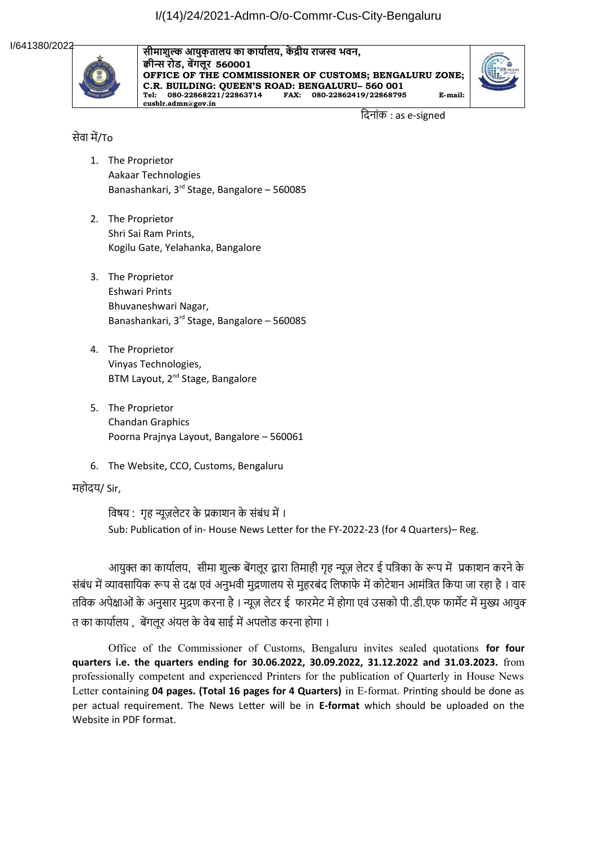I/641380/2022



**सीमाशुल्क आयुक्तालय का कार्यालय, कें द्रीय राजस्व भवन, क्वीन्स रोड, बेंगलूर 560001 OFFICE OF THE COMMISSIONER OF CUSTOMS; BENGALURU ZONE; C.R. BUILDING: QUEEN'S ROAD: BENGALURU– 560 001 Tel: 080-22868221/22863714 FAX: 080-22862419/22868795 E-mail: cusblr.admn@gov.in**



 दि-नांक : as e-signed

## सेवा में/To

- 1. The Proprietor Aakaar Technologies Banashankari, 3rd Stage, Bangalore – 560085
- 2. The Proprietor Shri Sai Ram Prints, Kogilu Gate, Yelahanka, Bangalore
- 3. The Proprietor Eshwari Prints Bhuvaneshwari Nagar, Banashankari, 3rd Stage, Bangalore – 560085
- 4. The Proprietor Vinyas Technologies, BTM Layout, 2<sup>nd</sup> Stage, Bangalore
- 5. The Proprietor Chandan Graphics Poorna Prajnya Layout, Bangalore – 560061
- 6. The Website, CCO, Customs, Bengaluru

## महोदय/ Sir,

विषय : गृह न्यूज़लेटर के प्रकाशन के संबंध में । Sub: Publication of in- House News Letter for the FY-2022-23 (for 4 Quarters)– Reg.

आयुक्त का कार्यालय, सीमा शुल्क बेंगलूर द्वारा तिमाही गृह न्यूज़ लेटर ई पत्रिका के रूप में प्रकाशन करने के संबंध में व्यावसायिक रूप से दक्ष एवं अनुभवी मुद्रणालय से मुहरबंद लिफार्फ में कोटेशन आमंत्रित किया जा रहा है । वार तविक अपेक्षाओं के अनुसार मुद्रण करना है । न्यूज़ लेटर ई फारमेट में होगा एवं उसको पी.डी.एफ फार्मेट में मुख्य आयुक् त का कार्यालय , बेंगलूर अंयल के वेब साई में अपलोड करना होगा ।

Office of the Commissioner of Customs, Bengaluru invites sealed quotations **for four quarters i.e. the quarters ending for 30.06.2022, 30.09.2022, 31.12.2022 and 31.03.2023.** from professionally competent and experienced Printers for the publication of Quarterly in House News Letter containing **04 pages. (Total 16 pages for 4 Quarters)** in E-format. Printing should be done as per actual requirement. The News Letter will be in **E-format** which should be uploaded on the Website in PDF format.